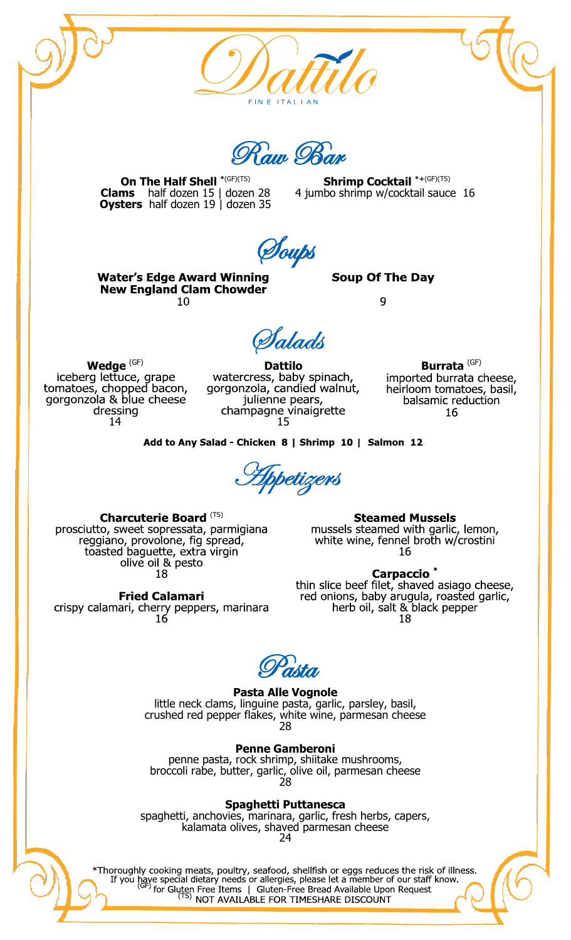

Raw Bar

**On The Half Shell \***(GF)(TS) **Clams** half dozen 15 | dozen 28 **Oysters** half dozen 19 | dozen 35

**Shrimp Cocktail \*+**(GF)(TS) 4 jumbo shrimp w/cocktail sauce 16

Soups

**Water's Edge Award Winning New England Clam Chowder** 10

**Soup Of The Day** 

9

Salads

**Wedge** <sup>(GF)</sup><br>iceberg lettuce, grape tomatoes, chopped bacon,<br>gorgonzola & blue cheese dressing 14

**Dattilo**<br>watercress, baby spinach, gorgonzola, candied walnut, julienne pears, champagne vinaigrette

**Burrata** (GF) imported burrata cheese, heirloom tomatoes, basil, balsamic reduction 16

Add to Any Salad - Chicken 8 | Shrimp 10 | Salmon 12

Appetizers

Charcuterie Board (TS) prosciutto, sweet sopressata, parmigiana reggiano, provolone, fig spread, toasted baguette, extra virgin<br>olive oil & pesto 18

**Fried Calamari** 

crispy calamari, cherry peppers, marinara  $16$ 

**Steamed Mussels** 

mussels steamed with garlic, lemon, white wine, fennel broth w/crostini 16

Carpaccio<sup>\*</sup> thin slice beef filet, shaved asiago cheese, red onions, baby arugula, roasted garlic, herb oil, salt & black pepper 18

Pasta

**Pasta Alle Vognole** little neck clams, linguine pasta, garlic, parsley, basil, crushed red pepper flakes, white wine, parmesan cheese

28

**Penne Gamberoni** 

penne pasta, rock shrimp, shiitake mushrooms, broccoli rabe, butter, garlic, olive oil, parmesan cheese 28

**Spaghetti Puttanesca**

spaghetti, anchovies, marinara, garlic, fresh herbs, capers, kalamata olives, shaved parmesan cheese 24

\*Thoroughly cooking meats, poultry, seafood, shellfish or eggs reduces the risk of illness. If you have special dietary needs or allergies, please let a member of our staff know.<br>  $(G_F)$  for Gluten Free Items | Gluten-Free Bread Available Upon Request<br>  $(G_F)$  for Gluten Free Items | Gluten-Free Bread Available Upo